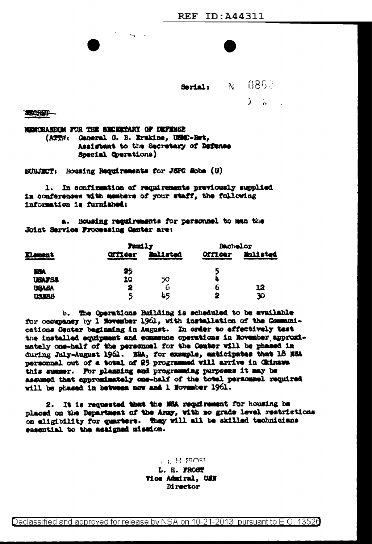Serial: N 0862  $\mathbf{J} = \mathbf{A}$ 

TERCHER-

MEMORANIXEM FOR THE SECRETARY OF DEFENSE (ATTN: General G. B. Erskine, USC-Ret. Assistant to the Secretary of Defense Special Operations)

SUBJECT: Housing Requirements for JEPC Sobe (U)

1. In confirmation of requirements previously supplied in conferences with members of your staff, the following information is furnished:

a. Housing regulrements for personnel to man the Joint Service Processing Center are:

| Element        | <b>Family</b>  |                 | Bachelor       |          |
|----------------|----------------|-----------------|----------------|----------|
|                | <b>Officer</b> | <b>Balisted</b> | <b>Officer</b> | Enlisted |
| TRA            | 25             |                 |                |          |
| <b>UGAJ SA</b> | 10             | 50              |                |          |
| <b>USABA</b>   |                | b               | D              | 12       |
| <b>US/ENS</b>  |                | 45              |                | 30       |

b. The Operations Building is scheduled to be available for occupancy by 1 November 1961, with installation of the Communications Center beginning in August. In order to effectively test the installed equipment and commence operations in November approximately one-half of the personnel for the Center will be phased in during July-August 1961. HEA, for example, maticipates that 18 NSA personnel out of a total of 25 programmed will arrive in Ckinawa this summer. For planning and programming purposes it may be assumed that approximately one-half of the total personnel required will be phased in between now and 1 November 1961.

2. It is requested that the MRA requirement for housing be placed on the Department of the Army, with no grade level restrictions on eligibility for guarters. They will all be skilled technicians essential to the assigned mission.

## **ALL HIS FROST**

L. H. FROST Vice Admiral, USN Director